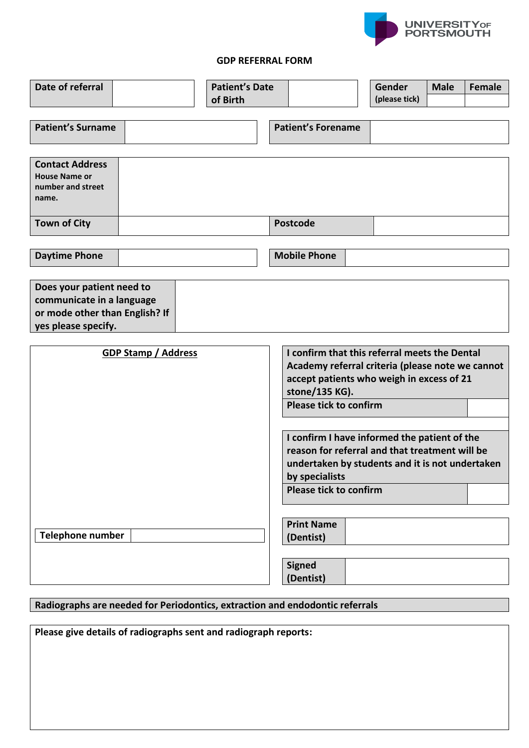

## **GDP REFERRAL FORM**

| Date of referral                                                                                                |  |  | <b>Patient's Date</b><br>of Birth |                                                                                                                                                                  |                                                                                                                                                                                                      |  | Gender<br>(please tick) | <b>Male</b> | <b>Female</b> |
|-----------------------------------------------------------------------------------------------------------------|--|--|-----------------------------------|------------------------------------------------------------------------------------------------------------------------------------------------------------------|------------------------------------------------------------------------------------------------------------------------------------------------------------------------------------------------------|--|-------------------------|-------------|---------------|
| <b>Patient's Surname</b>                                                                                        |  |  |                                   |                                                                                                                                                                  | <b>Patient's Forename</b>                                                                                                                                                                            |  |                         |             |               |
| <b>Contact Address</b><br><b>House Name or</b><br>number and street<br>name.                                    |  |  |                                   |                                                                                                                                                                  |                                                                                                                                                                                                      |  |                         |             |               |
| <b>Town of City</b>                                                                                             |  |  |                                   |                                                                                                                                                                  | <b>Postcode</b>                                                                                                                                                                                      |  |                         |             |               |
| <b>Daytime Phone</b>                                                                                            |  |  |                                   |                                                                                                                                                                  | <b>Mobile Phone</b>                                                                                                                                                                                  |  |                         |             |               |
| Does your patient need to<br>communicate in a language<br>or mode other than English? If<br>yes please specify. |  |  |                                   |                                                                                                                                                                  |                                                                                                                                                                                                      |  |                         |             |               |
| <b>GDP Stamp / Address</b>                                                                                      |  |  |                                   | I confirm that this referral meets the Dental<br>Academy referral criteria (please note we cannot<br>accept patients who weigh in excess of 21<br>stone/135 KG). |                                                                                                                                                                                                      |  |                         |             |               |
|                                                                                                                 |  |  |                                   |                                                                                                                                                                  | <b>Please tick to confirm</b>                                                                                                                                                                        |  |                         |             |               |
|                                                                                                                 |  |  |                                   |                                                                                                                                                                  | I confirm I have informed the patient of the<br>reason for referral and that treatment will be<br>undertaken by students and it is not undertaken<br>by specialists<br><b>Please tick to confirm</b> |  |                         |             |               |
| <b>Telephone number</b>                                                                                         |  |  |                                   |                                                                                                                                                                  | <b>Print Name</b><br>(Dentist)                                                                                                                                                                       |  |                         |             |               |
|                                                                                                                 |  |  |                                   |                                                                                                                                                                  | <b>Signed</b><br>(Dentist)                                                                                                                                                                           |  |                         |             |               |
| Radiographs are needed for Periodontics, extraction and endodontic referrals                                    |  |  |                                   |                                                                                                                                                                  |                                                                                                                                                                                                      |  |                         |             |               |

**Please give details of radiographs sent and radiograph reports:**